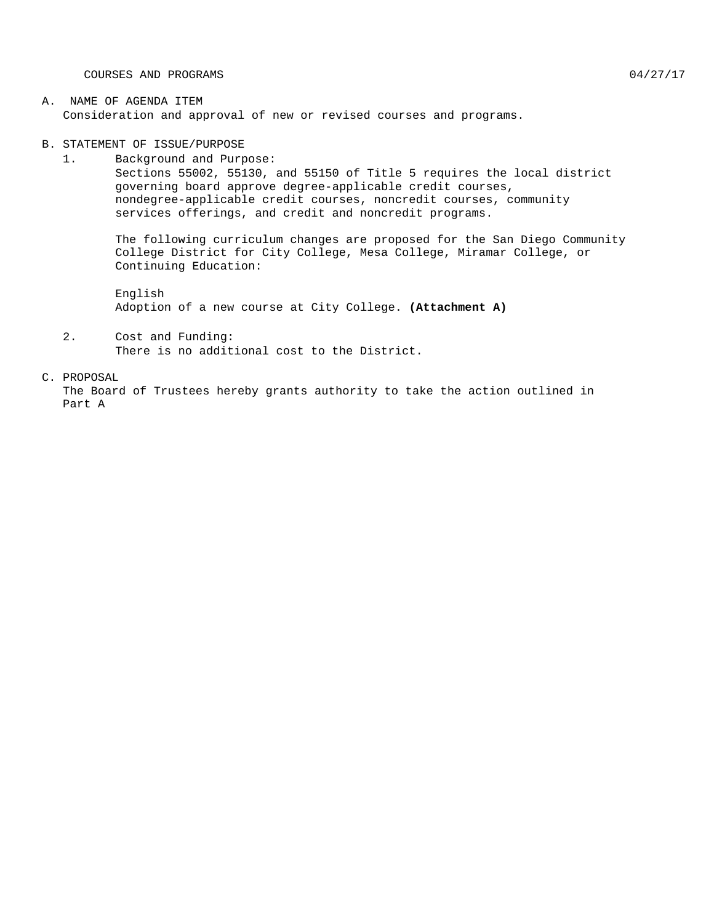COURSES AND PROGRAMS  $04/27/17$ 

B. STATEMENT OF ISSUE/PURPOSE

1. Background and Purpose: Sections 55002, 55130, and 55150 of Title 5 requires the local district governing board approve degree-applicable credit courses, nondegree-applicable credit courses, noncredit courses, community services offerings, and credit and noncredit programs.

The following curriculum changes are proposed for the San Diego Community College District for City College, Mesa College, Miramar College, or Continuing Education:

English Adoption of a new course at City College. **(Attachment A)**

2. Cost and Funding: There is no additional cost to the District.

## C. PROPOSAL

The Board of Trustees hereby grants authority to take the action outlined in Part A